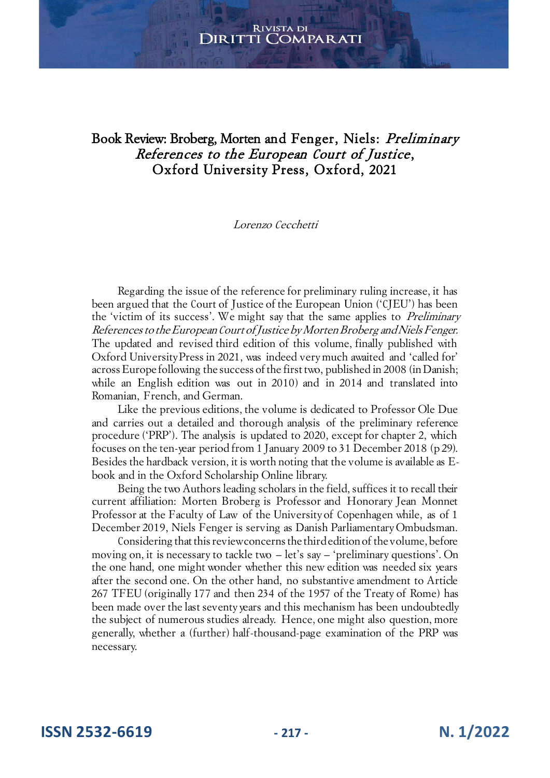# Book Review: Broberg, Morten and Fenger, Niels: Preliminary References to the European Court of Justice, Oxford University Press, Oxford, 2021

#### Lorenzo Cecchetti

Regarding the issue of the reference for preliminary ruling increase, it has been argued that the Court of Justice of the European Union ('CJEU') has been the 'victim of its success'. We might say that the same applies to *Preliminary* References to the European Court of Justice by Morten Broberg and Niels Fenger. The updated and revised third edition of this volume, finally published with Oxford University Press in 2021, was indeed very much awaited and 'called for' across Europe following the success of the first two, published in 2008 (in Danish; while an English edition was out in 2010) and in 2014 and translated into Romanian, French, and German.

Like the previous editions, the volume is dedicated to Professor Ole Due and carries out a detailed and thorough analysis of the preliminary reference procedure ('PRP'). The analysis is updated to 2020, except for chapter 2, which focuses on the ten-year period from 1 January 2009 to 31 December 2018 (p 29). Besides the hardback version, it is worth noting that the volume is available as Ebook and in the Oxford Scholarship Online library.

Being the two Authors leading scholars in the field, suffices it to recall their current affiliation: Morten Broberg is Professor and Honorary Jean Monnet Professor at the Faculty of Law of the University of Copenhagen while, as of 1 December 2019, Niels Fenger is serving as Danish Parliamentary Ombudsman.

Considering that this review concerns the third edition of the volume, before moving on, it is necessary to tackle two – let's say – 'preliminary questions'. On the one hand, one might wonder whether this new edition was needed six years after the second one. On the other hand, no substantive amendment to Article 267 TFEU (originally 177 and then 234 of the 1957 of the Treaty of Rome) has been made over the last seventy years and this mechanism has been undoubtedly the subject of numerous studies already. Hence, one might also question, more generally, whether a (further) half-thousand-page examination of the PRP was necessary.

**ISSN 2532-6619 - 217 - N. 1/2022**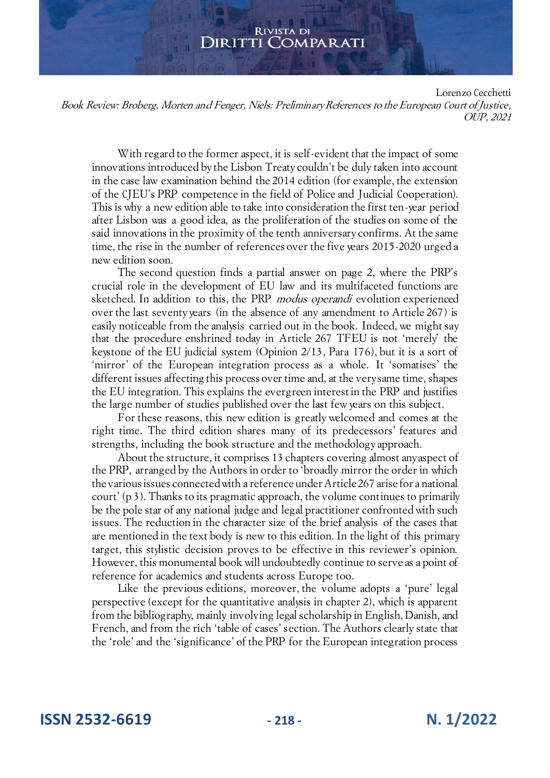Lorenzo Cecchetti Book Review: Broberg, Morten and Fenger, Niels: Preliminary References to the European Court of Justice, OUP, 2021

With regard to the former aspect, it is self-evident that the impact of some innovations introduced by the Lisbon Treaty couldn't be duly taken into account in the case law examination behind the 2014 edition (for example, the extension of the CJEU's PRP competence in the field of Police and Judicial Cooperation). This is why a new edition able to take into consideration the first ten-year period after Lisbon was a good idea, as the proliferation of the studies on some of the said innovations in the proximity of the tenth anniversary confirms. At the same time, the rise in the number of references over the five years 2015-2020 urged a new edition soon.

The second question finds a partial answer on page 2, where the PRP's crucial role in the development of EU law and its multifaceted functions are sketched. In addition to this, the PRP *modus operandi* evolution experienced over the last seventy years (in the absence of any amendment to Article 267) is easily noticeable from the analysis carried out in the book. Indeed, we might say that the procedure enshrined today in Article 267 TFEU is not 'merely' the keystone of the EU judicial system (Opinion 2/13, Para 176), but it is a sort of 'mirror' of the European integration process as a whole. It 'somatises' the different issues affecting this process over time and, at the very same time, shapes the EU integration. This explains the evergreen interest in the PRP and justifies the large number of studies published over the last few years on this subject.

For these reasons, this new edition is greatly welcomed and comes at the right time. The third edition shares many of its predecessors' features and strengths, including the book structure and the methodology approach.

About the structure, it comprises 13 chapters covering almost any aspect of the PRP, arranged by the Authors in order to 'broadly mirror the order in which the various issues connected with a reference under Article 267 arise for a national court' (p 3). Thanks to its pragmatic approach, the volume continues to primarily be the pole star of any national judge and legal practitioner confronted with such issues. The reduction in the character size of the brief analysis of the cases that are mentioned in the text body is new to this edition. In the light of this primary target, this stylistic decision proves to be effective in this reviewer's opinion. However, this monumental book will undoubtedly continue to serve as a point of reference for academics and students across Europe too.

Like the previous editions, moreover, the volume adopts a 'pure' legal perspective (except for the quantitative analysis in chapter 2), which is apparent from the bibliography, mainly involving legal scholarship in English, Danish, and French, and from the rich 'table of cases' section. The Authors clearly state that the 'role' and the 'significance' of the PRP for the European integration process

**ISSN 2532-6619 - 218 - N. 1/2022**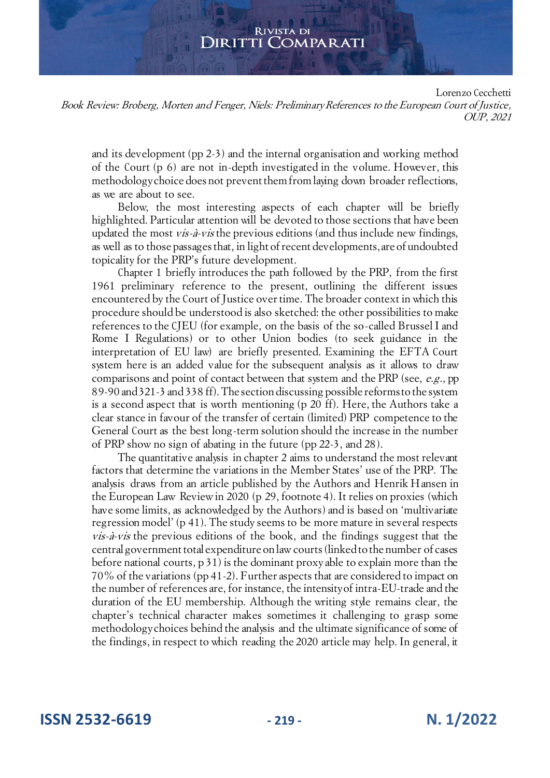Lorenzo Cecchetti

Book Review: Broberg, Morten and Fenger, Niels: Preliminary References to the European Court of Justice, OUP, 2021

and its development (pp 2-3) and the internal organisation and working method of the Court (p 6) are not in-depth investigated in the volume. However, this methodology choice does not prevent them from laying down broader reflections, as we are about to see.

Below, the most interesting aspects of each chapter will be briefly highlighted. Particular attention will be devoted to those sections that have been updated the most vis-à-vis the previous editions (and thus include new findings, as well as to those passages that, in light of recent developments, are of undoubted topicality for the PRP's future development.

Chapter 1 briefly introduces the path followed by the PRP, from the first 1961 preliminary reference to the present, outlining the different issues encountered by the Court of Justice over time. The broader context in which this procedure should be understood is also sketched: the other possibilities to make references to the CJEU (for example, on the basis of the so-called Brussel I and Rome I Regulations) or to other Union bodies (to seek guidance in the interpretation of EU law) are briefly presented. Examining the EFTA Court system here is an added value for the subsequent analysis as it allows to draw comparisons and point of contact between that system and the PRP (see, e.g., pp 89-90 and 321-3 and 338 ff). The section discussing possible reforms to the system is a second aspect that is worth mentioning (p 20 ff). Here, the Authors take a clear stance in favour of the transfer of certain (limited) PRP competence to the General Court as the best long-term solution should the increase in the number of PRP show no sign of abating in the future (pp 22-3, and 28).

The quantitative analysis in chapter 2 aims to understand the most relevant factors that determine the variations in the Member States' use of the PRP. The analysis draws from an article published by the Authors and Henrik Hansen in the European Law Review in 2020 (p 29, footnote 4). It relies on proxies (which have some limits, as acknowledged by the Authors) and is based on 'multivariate regression model' (p 41). The study seems to be more mature in several respects vis-à-vis the previous editions of the book, and the findings suggest that the central government total expenditure on law courts (linked to the number of cases before national courts, p 31) is the dominant proxy able to explain more than the 70% of the variations (pp 41-2). Further aspects that are considered to impact on the number of references are, for instance, the intensity of intra-EU-trade and the duration of the EU membership. Although the writing style remains clear, the chapter's technical character makes sometimes it challenging to grasp some methodology choices behind the analysis and the ultimate significance of some of the findings, in respect to which reading the 2020 article may help. In general, it

**ISSN 2532-6619 - 219 - N. 1/2022**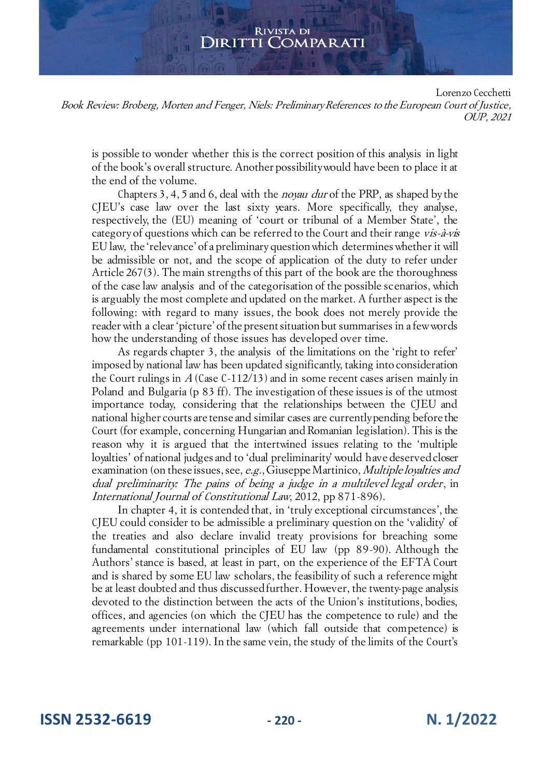Lorenzo Cecchetti

Book Review: Broberg, Morten and Fenger, Niels: Preliminary References to the European Court of Justice, OUP, 2021

is possible to wonder whether this is the correct position of this analysis in light of the book's overall structure. Another possibility would have been to place it at the end of the volume.

Chapters 3, 4, 5 and 6, deal with the noyau dur of the PRP, as shaped by the CJEU's case law over the last sixty years. More specifically, they analyse, respectively, the (EU) meaning of 'court or tribunal of a Member State', the category of questions which can be referred to the Court and their range vis-à-vis EU law, the 'relevance' of a preliminary question which determines whether it will be admissible or not, and the scope of application of the duty to refer under Article 267(3). The main strengths of this part of the book are the thoroughness of the case law analysis and of the categorisation of the possible scenarios, which is arguably the most complete and updated on the market. A further aspect is the following: with regard to many issues, the book does not merely provide the reader with a clear 'picture' of the present situation but summarises in a few words how the understanding of those issues has developed over time.

As regards chapter 3, the analysis of the limitations on the 'right to refer' imposed by national law has been updated significantly, taking into consideration the Court rulings in  $A$  (Case C-112/13) and in some recent cases arisen mainly in Poland and Bulgaria (p 83 ff). The investigation of these issues is of the utmost importance today, considering that the relationships between the CJEU and national higher courts are tense and similar cases are currently pending before the Court (for example, concerning Hungarian and Romanian legislation). This is the reason why it is argued that the intertwined issues relating to the 'multiple loyalties' of national judges and to 'dual preliminarity' would have deserved closer examination (on these issues, see, e.g., Giuseppe Martinico, *Multiple loyalties and* dual preliminarity: The pains of being a judge in a multilevel legal order, in International Journal of Constitutional Law, 2012, pp 871-896).

In chapter 4, it is contended that, in 'truly exceptional circumstances', the CJEU could consider to be admissible a preliminary question on the 'validity' of the treaties and also declare invalid treaty provisions for breaching some fundamental constitutional principles of EU law (pp 89-90). Although the Authors' stance is based, at least in part, on the experience of the EFTA Court and is shared by some EU law scholars, the feasibility of such a reference might be at least doubted and thus discussed further. However, the twenty-page analysis devoted to the distinction between the acts of the Union's institutions, bodies, offices, and agencies (on which the CJEU has the competence to rule) and the agreements under international law (which fall outside that competence) is remarkable (pp 101-119). In the same vein, the study of the limits of the Court's

**ISSN 2532-6619 - 220 - N. 1/2022**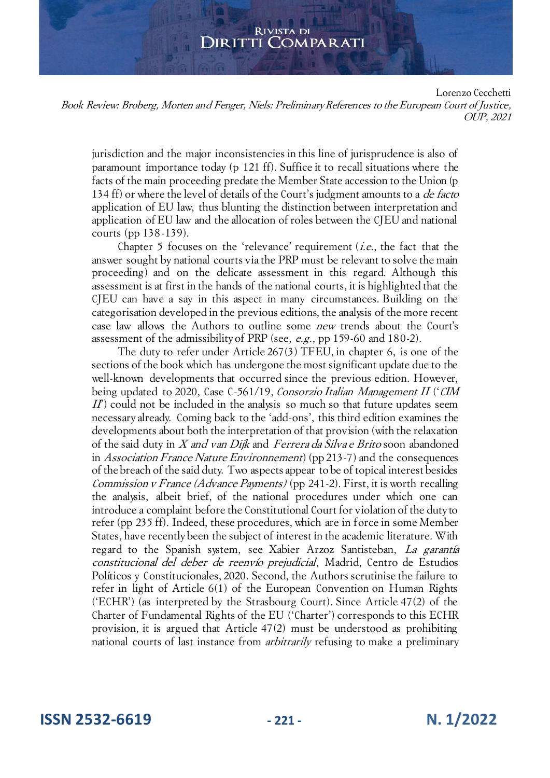Lorenzo Cecchetti

Book Review: Broberg, Morten and Fenger, Niels: Preliminary References to the European Court of Justice, OUP, 2021

jurisdiction and the major inconsistencies in this line of jurisprudence is also of paramount importance today (p 121 ff). Suffice it to recall situations where the facts of the main proceeding predate the Member State accession to the Union (p 134 ff) or where the level of details of the Court's judgment amounts to a *de facto* application of EU law, thus blunting the distinction between interpretation and application of EU law and the allocation of roles between the CJEU and national courts (pp 138-139).

Chapter 5 focuses on the 'relevance' requirement  $(i.e.,$  the fact that the answer sought by national courts via the PRP must be relevant to solve the main proceeding) and on the delicate assessment in this regard. Although this assessment is at first in the hands of the national courts, it is highlighted that the CJEU can have a say in this aspect in many circumstances. Building on the categorisation developed in the previous editions, the analysis of the more recent case law allows the Authors to outline some new trends about the Court's assessment of the admissibility of PRP (see, e.g., pp 159-60 and 180-2).

The duty to refer under Article 267(3) TFEU, in chapter 6, is one of the sections of the book which has undergone the most significant update due to the well-known developments that occurred since the previous edition. However, being updated to 2020, Case C-561/19, Consorzio Italian Management II ('CIM  $II$ ) could not be included in the analysis so much so that future updates seem necessary already. Coming back to the 'add-ons', this third edition examines the developments about both the interpretation of that provision (with the relaxation of the said duty in X and van Dijk and Ferrera da Silva e Brito soon abandoned in *Association France Nature Environnement*) (pp 213-7) and the consequences of the breach of the said duty. Two aspects appear to be of topical interest besides Commission v France (Advance Payments) (pp 241-2). First, it is worth recalling the analysis, albeit brief, of the national procedures under which one can introduce a complaint before the Constitutional Court for violation of the duty to refer (pp 235 ff). Indeed, these procedures, which are in force in some Member States, have recently been the subject of interest in the academic literature. With regard to the Spanish system, see Xabier Arzoz Santisteban, La garantía constitucional del deber de reenvío prejudicial, Madrid, Centro de Estudios Políticos y Constitucionales, 2020. Second, the Authors scrutinise the failure to refer in light of Article 6(1) of the European Convention on Human Rights ('ECHR') (as interpreted by the Strasbourg Court). Since Article 47(2) of the Charter of Fundamental Rights of the EU ('Charter') corresponds to this ECHR provision, it is argued that Article 47(2) must be understood as prohibiting national courts of last instance from *arbitrarily* refusing to make a preliminary

**ISSN 2532-6619 - 221 - N. 1/2022**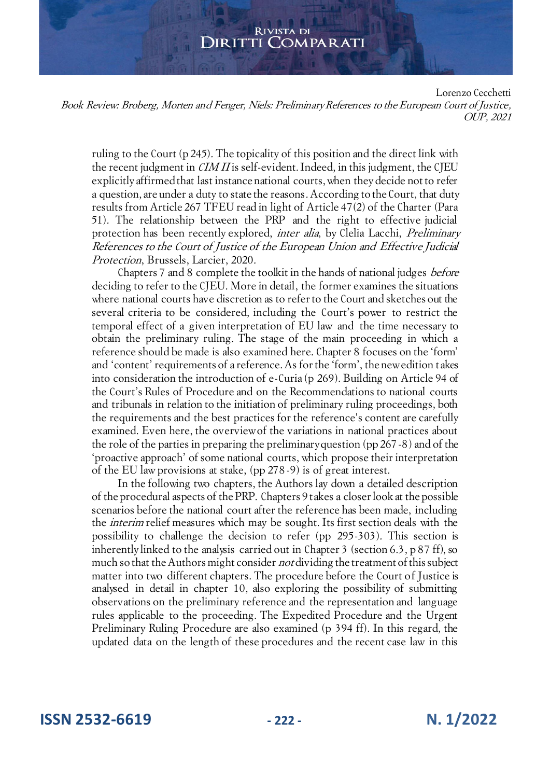Lorenzo Cecchetti

Book Review: Broberg, Morten and Fenger, Niels: Preliminary References to the European Court of Justice, OUP, 2021

ruling to the Court (p 245). The topicality of this position and the direct link with the recent judgment in *CIM II* is self-evident. Indeed, in this judgment, the CJEU explicitly affirmed that last instance national courts, when they decide not to refer a question, are under a duty to state the reasons. According to the Court, that duty results from Article 267 TFEU read in light of Article 47(2) of the Charter (Para 51). The relationship between the PRP and the right to effective judicial protection has been recently explored, inter alia, by Clelia Lacchi, Preliminary References to the Court of Justice of the European Union and Effective Judicial Protection, Brussels, Larcier, 2020.

Chapters 7 and 8 complete the toolkit in the hands of national judges before deciding to refer to the CJEU. More in detail, the former examines the situations where national courts have discretion as to refer to the Court and sketches out the several criteria to be considered, including the Court's power to restrict the temporal effect of a given interpretation of EU law and the time necessary to obtain the preliminary ruling. The stage of the main proceeding in which a reference should be made is also examined here. Chapter 8 focuses on the 'form' and 'content' requirements of a reference. As for the 'form', the new edition takes into consideration the introduction of e-Curia (p 269). Building on Article 94 of the Court's Rules of Procedure and on the Recommendations to national courts and tribunals in relation to the initiation of preliminary ruling proceedings, both the requirements and the best practices for the reference's content are carefully examined. Even here, the overview of the variations in national practices about the role of the parties in preparing the preliminary question (pp 267-8) and of the 'proactive approach' of some national courts, which propose their interpretation of the EU law provisions at stake, (pp 278 -9) is of great interest.

In the following two chapters, the Authors lay down a detailed description of the procedural aspects of the PRP. Chapters 9 takes a closer look at the possible scenarios before the national court after the reference has been made, including the interim relief measures which may be sought. Its first section deals with the possibility to challenge the decision to refer (pp 295-303). This section is inherently linked to the analysis carried out in Chapter 3 (section 6.3, p 87 ff), so much so that the Authors might consider *not* dividing the treatment of this subject matter into two different chapters. The procedure before the Court of Justice is analysed in detail in chapter 10, also exploring the possibility of submitting observations on the preliminary reference and the representation and language rules applicable to the proceeding. The Expedited Procedure and the Urgent Preliminary Ruling Procedure are also examined (p 394 ff). In this regard, the updated data on the length of these procedures and the recent case law in this

**ISSN 2532-6619 - 222 - N. 1/2022**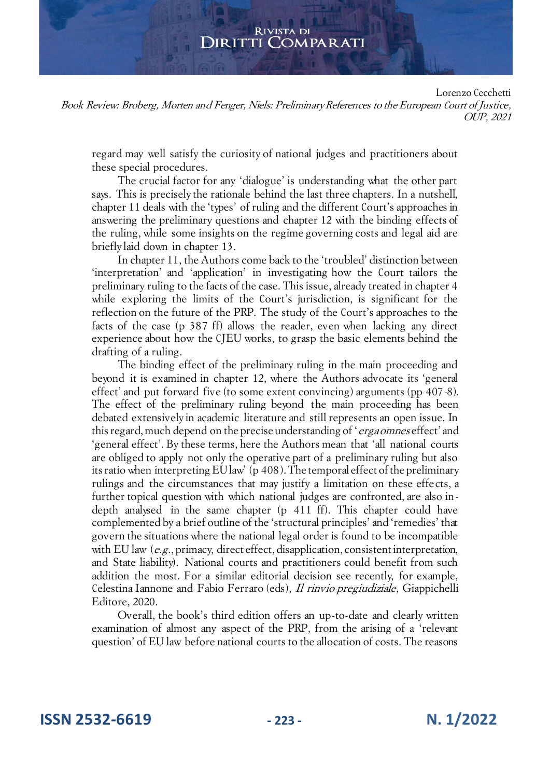Lorenzo Cecchetti

Book Review: Broberg, Morten and Fenger, Niels: Preliminary References to the European Court of Justice, OUP, 2021

regard may well satisfy the curiosity of national judges and practitioners about these special procedures.

The crucial factor for any 'dialogue' is understanding what the other part says. This is precisely the rationale behind the last three chapters. In a nutshell, chapter 11 deals with the 'types' of ruling and the different Court's approaches in answering the preliminary questions and chapter 12 with the binding effects of the ruling, while some insights on the regime governing costs and legal aid are briefly laid down in chapter 13.

In chapter 11, the Authors come back to the 'troubled' distinction between 'interpretation' and 'application' in investigating how the Court tailors the preliminary ruling to the facts of the case. This issue, already treated in chapter 4 while exploring the limits of the Court's jurisdiction, is significant for the reflection on the future of the PRP. The study of the Court's approaches to the facts of the case (p 387 ff) allows the reader, even when lacking any direct experience about how the CJEU works, to grasp the basic elements behind the drafting of a ruling.

The binding effect of the preliminary ruling in the main proceeding and beyond it is examined in chapter 12, where the Authors advocate its 'general effect' and put forward five (to some extent convincing) arguments (pp 407-8). The effect of the preliminary ruling beyond the main proceeding has been debated extensively in academic literature and still represents an open issue. In this regard, much depend on the precise understanding of 'erga omnes effect' and 'general effect'. By these terms, here the Authors mean that 'all national courts are obliged to apply not only the operative part of a preliminary ruling but also its ratio when interpreting EU law' (p 408). The temporal effect of the preliminary rulings and the circumstances that may justify a limitation on these effe cts, a further topical question with which national judges are confronted, are also indepth analysed in the same chapter (p 411 ff). This chapter could have complemented by a brief outline of the 'structural principles' and 'remedies' that govern the situations where the national legal order is found to be incompatible with EU law  $(e.g., \text{primary}, \text{direct effect}, \text{disapplication}, \text{consistent interpretation},$ and State liability). National courts and practitioners could benefit from such addition the most. For a similar editorial decision see recently, for example, Celestina Iannone and Fabio Ferraro (eds), Il rinvio pregiudiziale, Giappichelli Editore, 2020.

Overall, the book's third edition offers an up-to-date and clearly written examination of almost any aspect of the PRP, from the arising of a 'relevant question' of EU law before national courts to the allocation of costs. The reasons